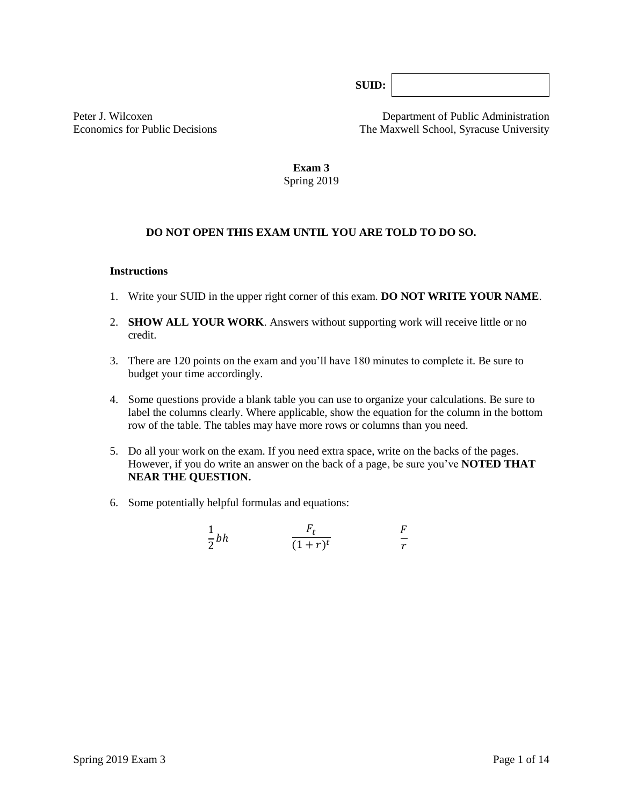**SUID:**

Peter J. Wilcoxen Department of Public Administration Economics for Public Decisions The Maxwell School, Syracuse University

> **Exam 3** Spring 2019

## **DO NOT OPEN THIS EXAM UNTIL YOU ARE TOLD TO DO SO.**

#### **Instructions**

- 1. Write your SUID in the upper right corner of this exam. **DO NOT WRITE YOUR NAME**.
- 2. **SHOW ALL YOUR WORK**. Answers without supporting work will receive little or no credit.
- 3. There are 120 points on the exam and you'll have 180 minutes to complete it. Be sure to budget your time accordingly.
- 4. Some questions provide a blank table you can use to organize your calculations. Be sure to label the columns clearly. Where applicable, show the equation for the column in the bottom row of the table*.* The tables may have more rows or columns than you need.
- 5. Do all your work on the exam. If you need extra space, write on the backs of the pages. However, if you do write an answer on the back of a page, be sure you've **NOTED THAT NEAR THE QUESTION.**
- 6. Some potentially helpful formulas and equations:

$$
\frac{1}{2}bh \qquad \qquad \frac{F_t}{(1+r)^t} \qquad \qquad \frac{F}{r}
$$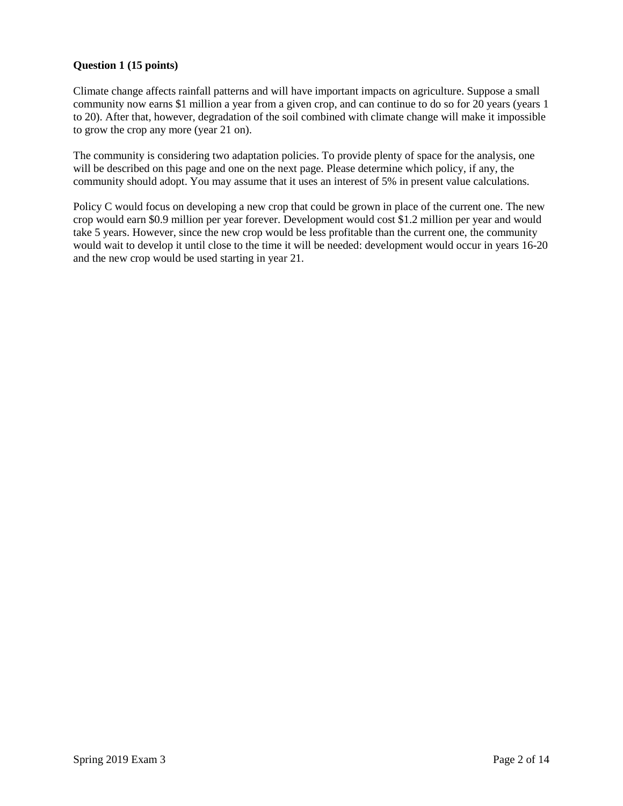## **Question 1 (15 points)**

Climate change affects rainfall patterns and will have important impacts on agriculture. Suppose a small community now earns \$1 million a year from a given crop, and can continue to do so for 20 years (years 1 to 20). After that, however, degradation of the soil combined with climate change will make it impossible to grow the crop any more (year 21 on).

The community is considering two adaptation policies. To provide plenty of space for the analysis, one will be described on this page and one on the next page. Please determine which policy, if any, the community should adopt. You may assume that it uses an interest of 5% in present value calculations.

Policy C would focus on developing a new crop that could be grown in place of the current one. The new crop would earn \$0.9 million per year forever. Development would cost \$1.2 million per year and would take 5 years. However, since the new crop would be less profitable than the current one, the community would wait to develop it until close to the time it will be needed: development would occur in years 16-20 and the new crop would be used starting in year 21.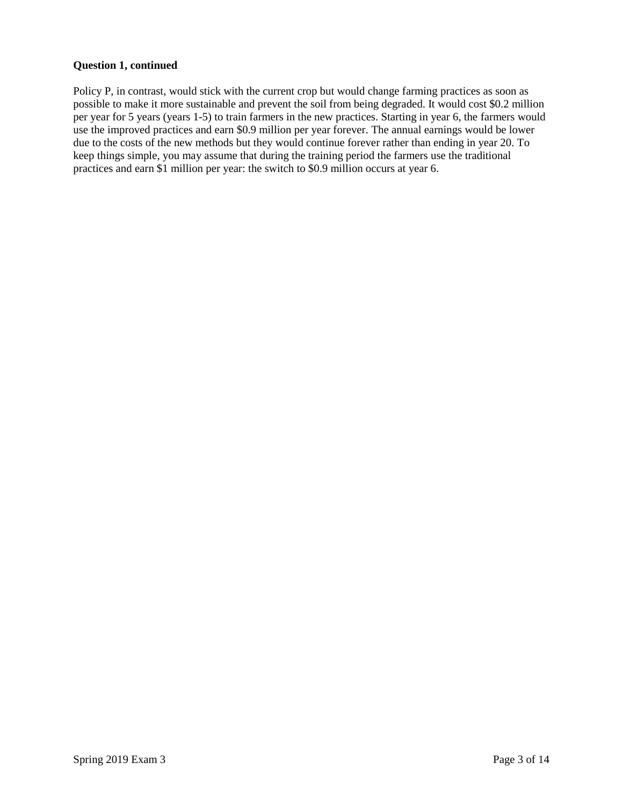#### **Question 1, continued**

Policy P, in contrast, would stick with the current crop but would change farming practices as soon as possible to make it more sustainable and prevent the soil from being degraded. It would cost \$0.2 million per year for 5 years (years 1-5) to train farmers in the new practices. Starting in year 6, the farmers would use the improved practices and earn \$0.9 million per year forever. The annual earnings would be lower due to the costs of the new methods but they would continue forever rather than ending in year 20. To keep things simple, you may assume that during the training period the farmers use the traditional practices and earn \$1 million per year: the switch to \$0.9 million occurs at year 6.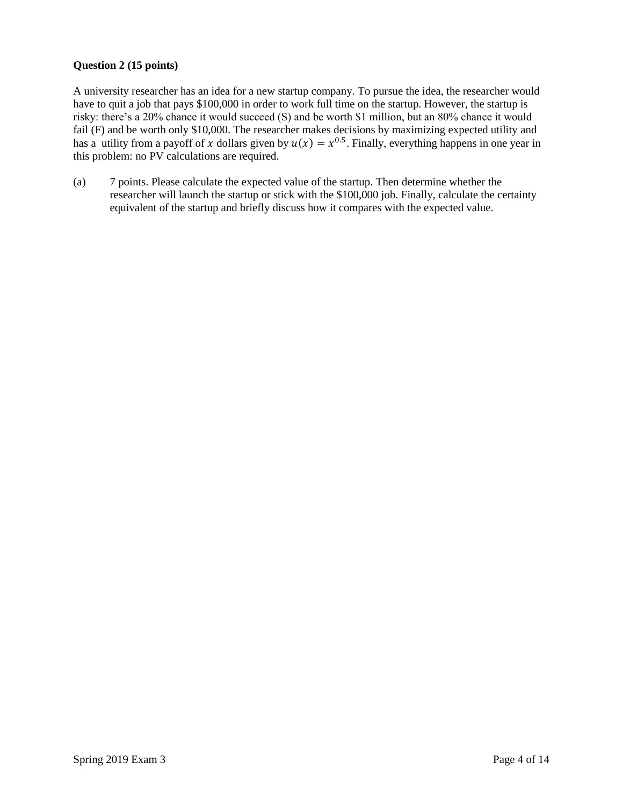## **Question 2 (15 points)**

A university researcher has an idea for a new startup company. To pursue the idea, the researcher would have to quit a job that pays \$100,000 in order to work full time on the startup. However, the startup is risky: there's a 20% chance it would succeed (S) and be worth \$1 million, but an 80% chance it would fail (F) and be worth only \$10,000. The researcher makes decisions by maximizing expected utility and has a utility from a payoff of x dollars given by  $u(x) = x^{0.5}$ . Finally, everything happens in one year in this problem: no PV calculations are required.

(a) 7 points. Please calculate the expected value of the startup. Then determine whether the researcher will launch the startup or stick with the \$100,000 job. Finally, calculate the certainty equivalent of the startup and briefly discuss how it compares with the expected value.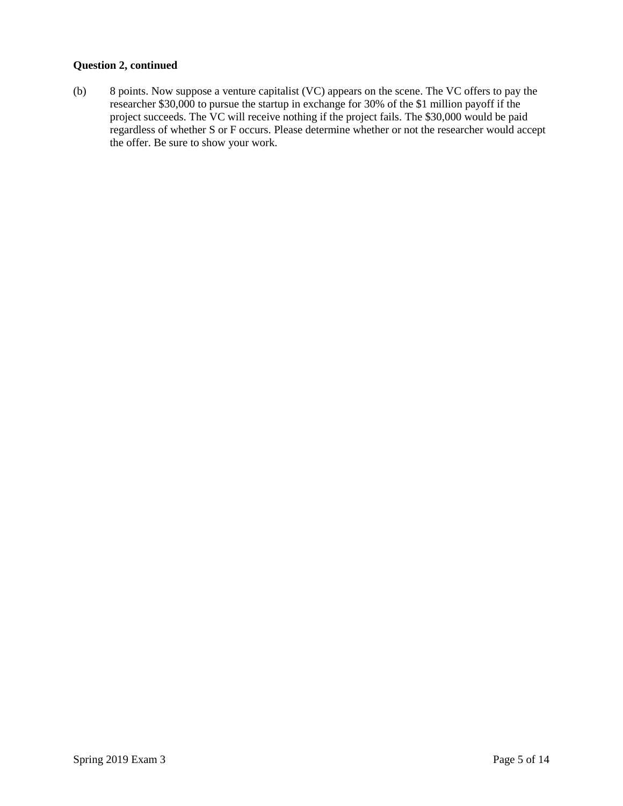## **Question 2, continued**

(b) 8 points. Now suppose a venture capitalist (VC) appears on the scene. The VC offers to pay the researcher \$30,000 to pursue the startup in exchange for 30% of the \$1 million payoff if the project succeeds. The VC will receive nothing if the project fails. The \$30,000 would be paid regardless of whether S or F occurs. Please determine whether or not the researcher would accept the offer. Be sure to show your work.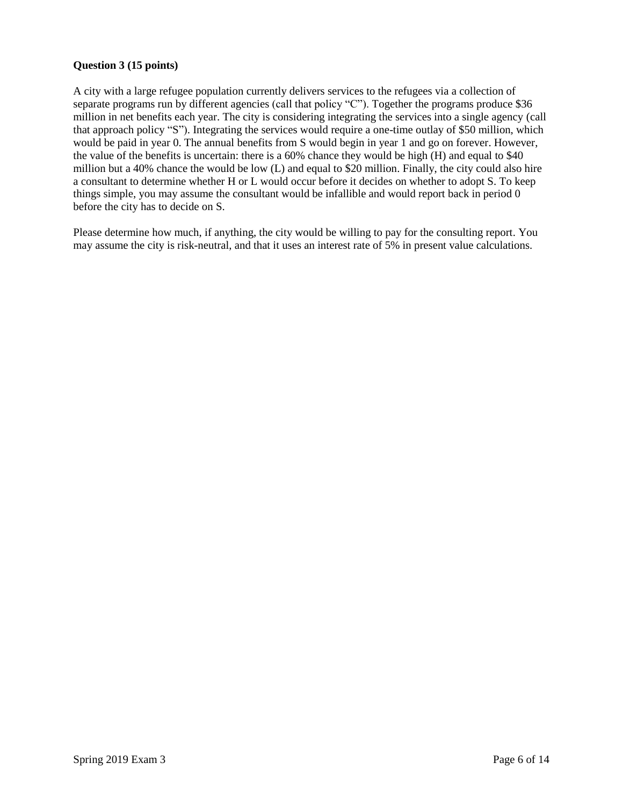## **Question 3 (15 points)**

A city with a large refugee population currently delivers services to the refugees via a collection of separate programs run by different agencies (call that policy "C"). Together the programs produce \$36 million in net benefits each year. The city is considering integrating the services into a single agency (call that approach policy "S"). Integrating the services would require a one-time outlay of \$50 million, which would be paid in year 0. The annual benefits from S would begin in year 1 and go on forever. However, the value of the benefits is uncertain: there is a 60% chance they would be high (H) and equal to \$40 million but a 40% chance the would be low (L) and equal to \$20 million. Finally, the city could also hire a consultant to determine whether H or L would occur before it decides on whether to adopt S. To keep things simple, you may assume the consultant would be infallible and would report back in period 0 before the city has to decide on S.

Please determine how much, if anything, the city would be willing to pay for the consulting report. You may assume the city is risk-neutral, and that it uses an interest rate of 5% in present value calculations.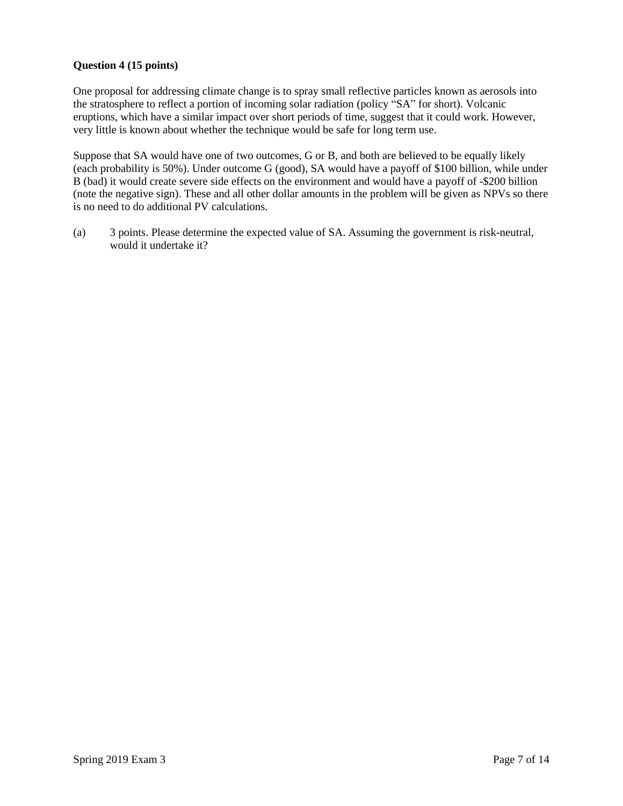## **Question 4 (15 points)**

One proposal for addressing climate change is to spray small reflective particles known as aerosols into the stratosphere to reflect a portion of incoming solar radiation (policy "SA" for short). Volcanic eruptions, which have a similar impact over short periods of time, suggest that it could work. However, very little is known about whether the technique would be safe for long term use.

Suppose that SA would have one of two outcomes, G or B, and both are believed to be equally likely (each probability is 50%). Under outcome G (good), SA would have a payoff of \$100 billion, while under B (bad) it would create severe side effects on the environment and would have a payoff of -\$200 billion (note the negative sign). These and all other dollar amounts in the problem will be given as NPVs so there is no need to do additional PV calculations.

(a) 3 points. Please determine the expected value of SA. Assuming the government is risk-neutral, would it undertake it?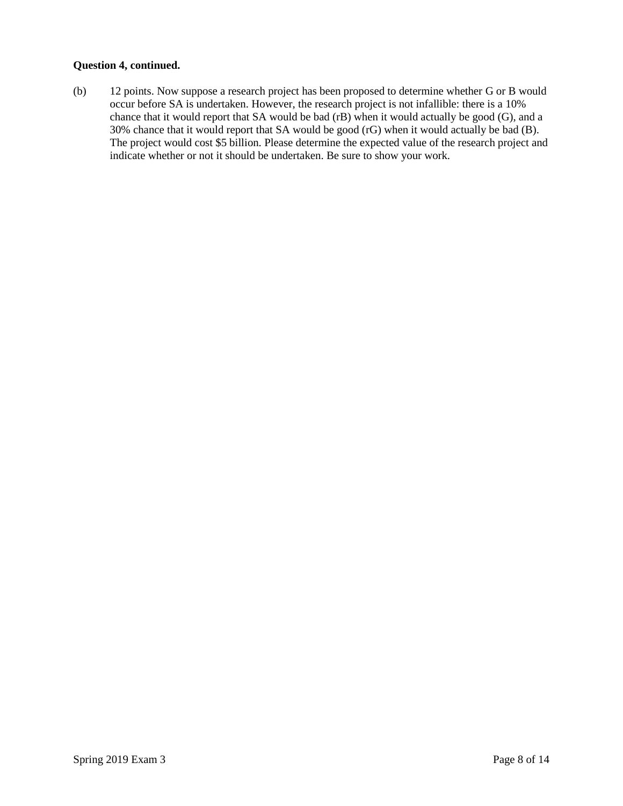#### **Question 4, continued.**

(b) 12 points. Now suppose a research project has been proposed to determine whether G or B would occur before SA is undertaken. However, the research project is not infallible: there is a 10% chance that it would report that SA would be bad (rB) when it would actually be good (G), and a 30% chance that it would report that SA would be good (rG) when it would actually be bad (B). The project would cost \$5 billion. Please determine the expected value of the research project and indicate whether or not it should be undertaken. Be sure to show your work.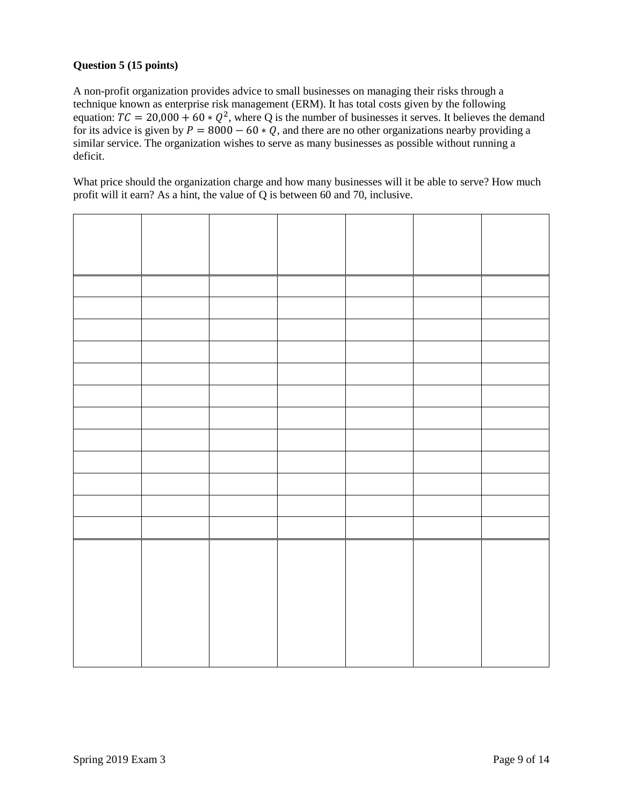## **Question 5 (15 points)**

A non-profit organization provides advice to small businesses on managing their risks through a technique known as enterprise risk management (ERM). It has total costs given by the following equation:  $TC = 20,000 + 60 * Q^2$ , where Q is the number of businesses it serves. It believes the demand for its advice is given by  $P = 8000 - 60 * Q$ , and there are no other organizations nearby providing a similar service. The organization wishes to serve as many businesses as possible without running a deficit.

What price should the organization charge and how many businesses will it be able to serve? How much profit will it earn? As a hint, the value of Q is between 60 and 70, inclusive.

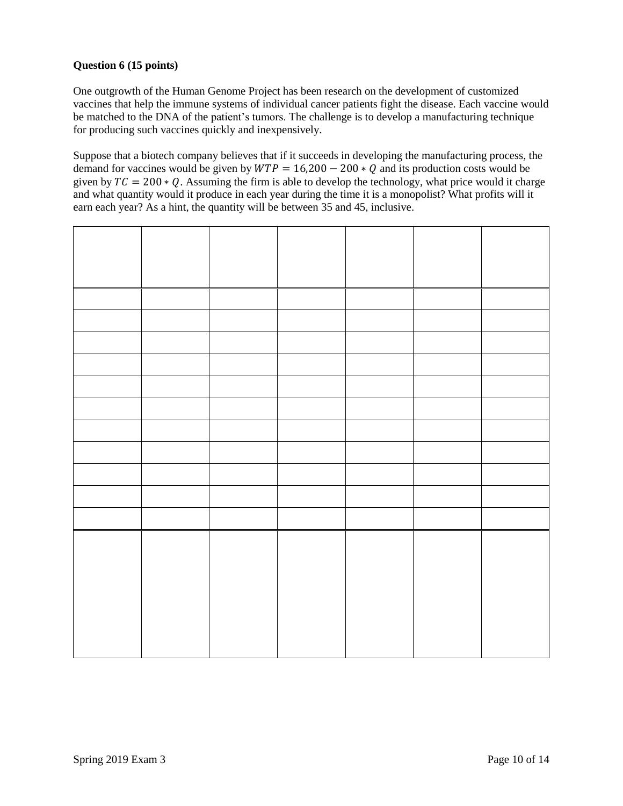## **Question 6 (15 points)**

One outgrowth of the Human Genome Project has been research on the development of customized vaccines that help the immune systems of individual cancer patients fight the disease. Each vaccine would be matched to the DNA of the patient's tumors. The challenge is to develop a manufacturing technique for producing such vaccines quickly and inexpensively.

Suppose that a biotech company believes that if it succeeds in developing the manufacturing process, the demand for vaccines would be given by  $WTP = 16,200 - 200 * Q$  and its production costs would be given by  $TC = 200 * Q$ . Assuming the firm is able to develop the technology, what price would it charge and what quantity would it produce in each year during the time it is a monopolist? What profits will it earn each year? As a hint, the quantity will be between 35 and 45, inclusive.

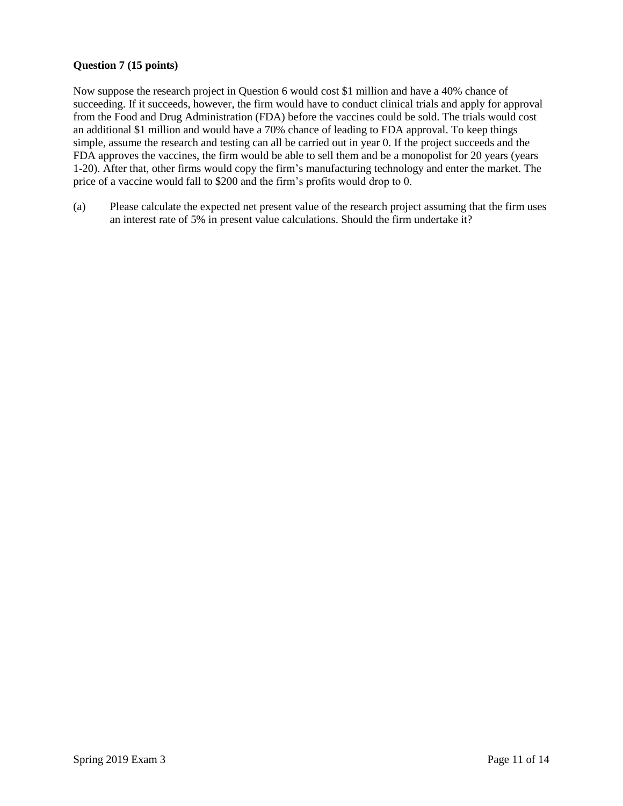## **Question 7 (15 points)**

Now suppose the research project in Question 6 would cost \$1 million and have a 40% chance of succeeding. If it succeeds, however, the firm would have to conduct clinical trials and apply for approval from the Food and Drug Administration (FDA) before the vaccines could be sold. The trials would cost an additional \$1 million and would have a 70% chance of leading to FDA approval. To keep things simple, assume the research and testing can all be carried out in year 0. If the project succeeds and the FDA approves the vaccines, the firm would be able to sell them and be a monopolist for 20 years (years 1-20). After that, other firms would copy the firm's manufacturing technology and enter the market. The price of a vaccine would fall to \$200 and the firm's profits would drop to 0.

(a) Please calculate the expected net present value of the research project assuming that the firm uses an interest rate of 5% in present value calculations. Should the firm undertake it?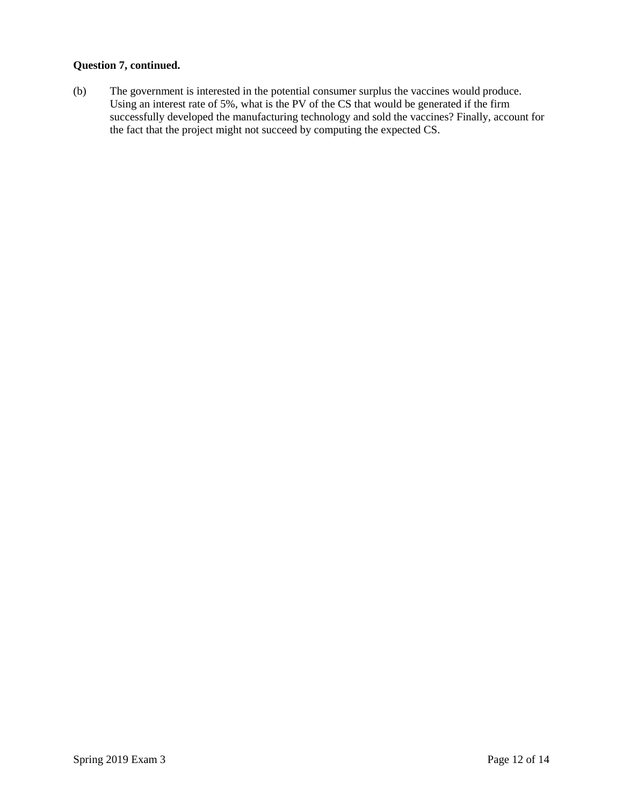#### **Question 7, continued.**

(b) The government is interested in the potential consumer surplus the vaccines would produce. Using an interest rate of 5%, what is the PV of the CS that would be generated if the firm successfully developed the manufacturing technology and sold the vaccines? Finally, account for the fact that the project might not succeed by computing the expected CS.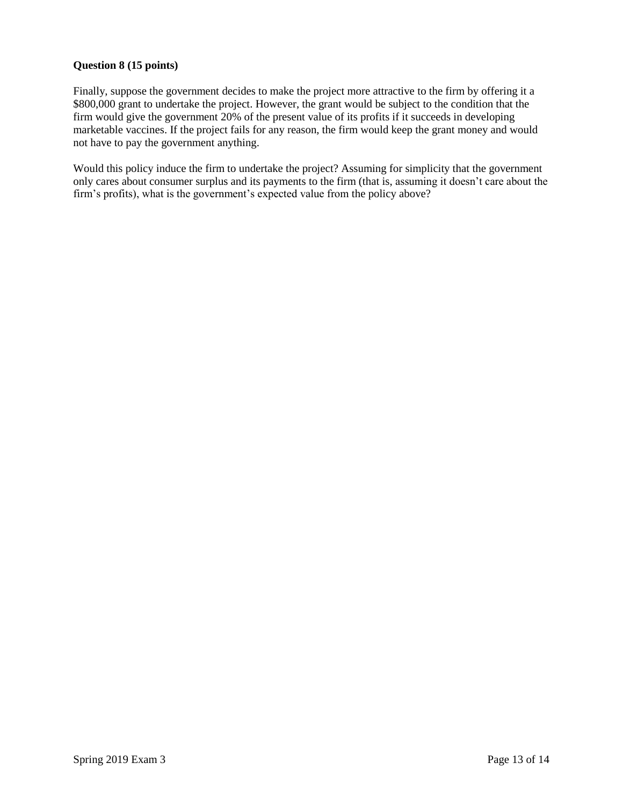## **Question 8 (15 points)**

Finally, suppose the government decides to make the project more attractive to the firm by offering it a \$800,000 grant to undertake the project. However, the grant would be subject to the condition that the firm would give the government 20% of the present value of its profits if it succeeds in developing marketable vaccines. If the project fails for any reason, the firm would keep the grant money and would not have to pay the government anything.

Would this policy induce the firm to undertake the project? Assuming for simplicity that the government only cares about consumer surplus and its payments to the firm (that is, assuming it doesn't care about the firm's profits), what is the government's expected value from the policy above?